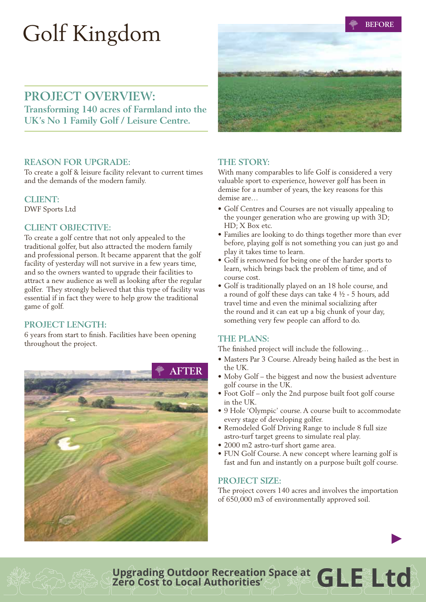# Golf Kingdom

**BEFORE**

# PROJECT OVERVIEW:

**Transforming 140 acres of Farmland into the UK's No 1 Family Golf / Leisure Centre.** 

#### **Reason for Upgrade:**

To create a golf & leisure facility relevant to current times and the demands of the modern family.

#### **Client:**

DWF Sports Ltd

## **Client Objective:**

To create a golf centre that not only appealed to the traditional golfer, but also attracted the modern family and professional person. It became apparent that the golf facility of yesterday will not survive in a few years time, and so the owners wanted to upgrade their facilities to attract a new audience as well as looking after the regular golfer. They strongly believed that this type of facility was essential if in fact they were to help grow the traditional game of golf.

# PROJECT LENGTH:

6 years from start to finish. Facilities have been opening throughout the project.





# **The Story:**

With many comparables to life Golf is considered a very valuable sport to experience, however golf has been in demise for a number of years, the key reasons for this demise are…

- Golf Centres and Courses are not visually appealing to the younger generation who are growing up with 3D; HD; X Box etc.
- Families are looking to do things together more than ever before, playing golf is not something you can just go and play it takes time to learn.
- Golf is renowned for being one of the harder sports to learn, which brings back the problem of time, and of course cost.
- Golf is traditionally played on an 18 hole course, and a round of golf these days can take 4 ½ - 5 hours, add travel time and even the minimal socializing after the round and it can eat up a big chunk of your day, something very few people can afford to do.

## **The Plans:**

The finished project will include the following…

- Masters Par 3 Course. Already being hailed as the best in the UK.
- Moby Golf the biggest and now the busiest adventure golf course in the UK.
- Foot Golf only the 2nd purpose built foot golf course in the UK.
- 9 Hole 'Olympic' course. A course built to accommodate every stage of developing golfer.
- Remodeled Golf Driving Range to include 8 full size astro-turf target greens to simulate real play.
- 2000 m2 astro-turf short game area.
- FUN Golf Course. A new concept where learning golf is fast and fun and instantly on a purpose built golf course.

## PROJECT SIZE:

The project covers 140 acres and involves the importation of 650,000 m3 of environmentally approved soil.

**GLE Ltd Upgrading Outdoor Recreation Space at Zero Cost to Local Authorities'**